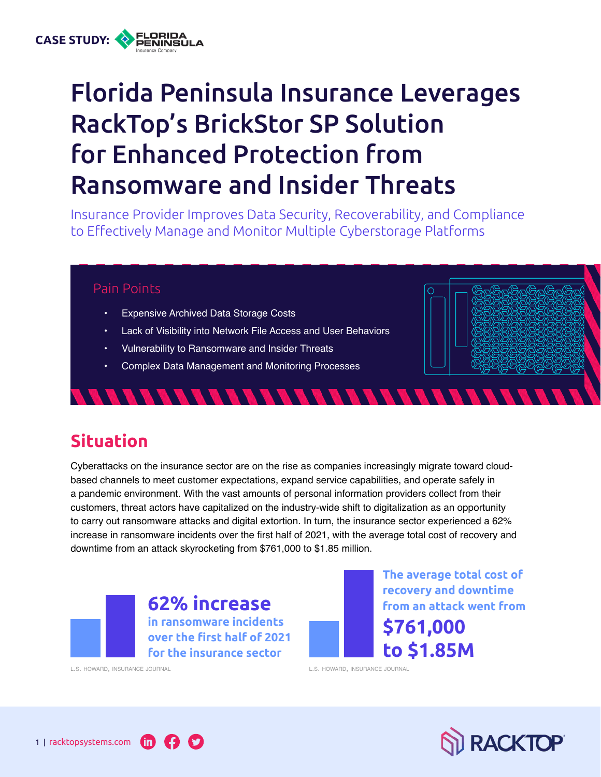# Florida Peninsula Insurance Leverages RackTop's BrickStor SP Solution for Enhanced Protection from Ransomware and Insider Threats

Insurance Provider Improves Data Security, Recoverability, and Compliance to Effectively Manage and Monitor Multiple Cyberstorage Platforms

#### Pain Points

**CASE STUDY:**

- Expensive Archived Data Storage Costs
- Lack of Visibility into Network File Access and User Behaviors

*8888888888888888888888* 

- Vulnerability to Ransomware and Insider Threats
- Complex Data Management and Monitoring Processes

## **Situation**

Cyberattacks on the insurance sector are on the rise as companies increasingly migrate toward cloudbased channels to meet customer expectations, expand service capabilities, and operate safely in a pandemic environment. With the vast amounts of personal information providers collect from their customers, threat actors have capitalized on the industry-wide shift to digitalization as an opportunity to carry out ransomware attacks and digital extortion. In turn, the insurance sector experienced a 62% increase in ransomware incidents over the first half of 2021, with the average total cost of recovery and downtime from an attack skyrocketing from \$761,000 to \$1.85 million.



**62% increase in ransomware incidents over the first half of 2021** 

**for the insurance sector**

**The average total cost of recovery and downtime from an attack went from \$761,000 to \$1.85M**

[l.s. howard, insurance](https://www.insurancejournal.com/news/international/2021/10/14/637049.htm) journal [l.s. howard, insurance](https://www.insurancejournal.com/news/international/2021/10/14/637049.htm) journal

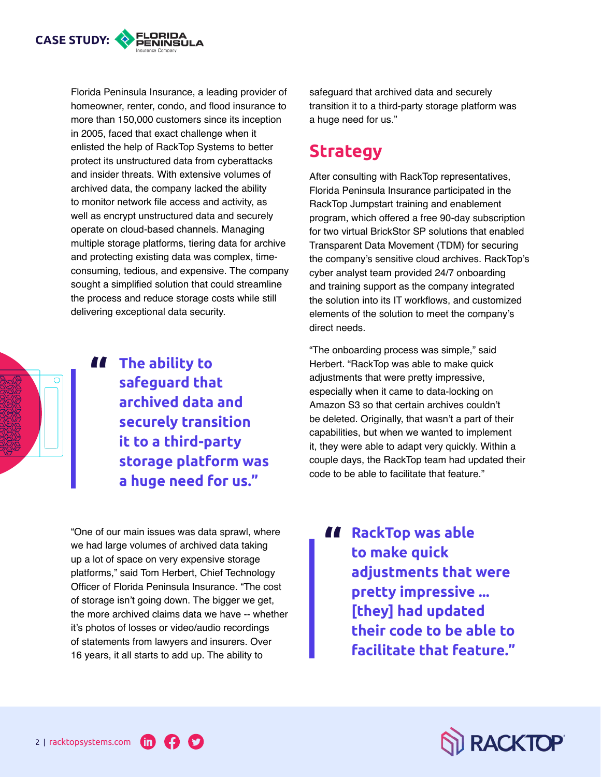

Florida Peninsula Insurance, a leading provider of homeowner, renter, condo, and flood insurance to more than 150,000 customers since its inception in 2005, faced that exact challenge when it enlisted the help of RackTop Systems to better protect its unstructured data from cyberattacks and insider threats. With extensive volumes of archived data, the company lacked the ability to monitor network file access and activity, as well as encrypt unstructured data and securely operate on cloud-based channels. Managing multiple storage platforms, tiering data for archive and protecting existing data was complex, timeconsuming, tedious, and expensive. The company sought a simplified solution that could streamline the process and reduce storage costs while still delivering exceptional data security.

**A** The ability to safeguard tha **safeguard that archived data and securely transition it to a third-party storage platform was a huge need for us."**

"One of our main issues was data sprawl, where we had large volumes of archived data taking up a lot of space on very expensive storage platforms," said Tom Herbert, Chief Technology Officer of Florida Peninsula Insurance. "The cost of storage isn't going down. The bigger we get, the more archived claims data we have -- whether it's photos of losses or video/audio recordings of statements from lawyers and insurers. Over 16 years, it all starts to add up. The ability to

safeguard that archived data and securely transition it to a third-party storage platform was a huge need for us."

### **Strategy**

After consulting with RackTop representatives, Florida Peninsula Insurance participated in the RackTop Jumpstart training and enablement program, which offered a free 90-day subscription for two virtual BrickStor SP solutions that enabled Transparent Data Movement (TDM) for securing the company's sensitive cloud archives. RackTop's cyber analyst team provided 24/7 onboarding and training support as the company integrated the solution into its IT workflows, and customized elements of the solution to meet the company's direct needs.

"The onboarding process was simple," said Herbert. "RackTop was able to make quick adjustments that were pretty impressive, especially when it came to data-locking on Amazon S3 so that certain archives couldn't be deleted. Originally, that wasn't a part of their capabilities, but when we wanted to implement it, they were able to adapt very quickly. Within a couple days, the RackTop team had updated their code to be able to facilitate that feature."

**RackTop was able<br>
<b>EXECUTE:**<br> **EXECUTE: to make quick adjustments that were pretty impressive ... [they] had updated their code to be able to facilitate that feature."**